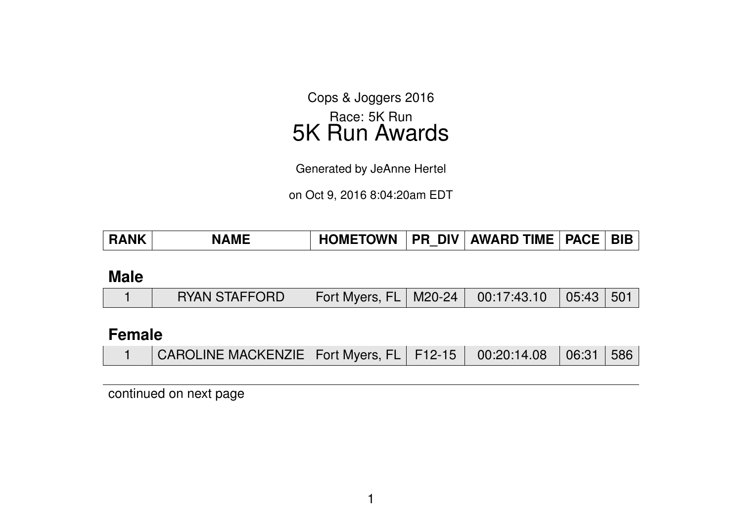Cops & Joggers 2016 Race: 5K Run 5K Run Awards

Generated by JeAnne Hertel

on Oct 9, 2016 8:04:20am EDT

| <b>VAME</b> | <b>HOMETOWN</b> | DIV L.<br>PR | <b>AWARD TIME</b> | <b>PACE</b> | <b>BIB</b> |
|-------------|-----------------|--------------|-------------------|-------------|------------|
|             |                 |              |                   |             |            |

### **Male**

| Fort Myers, FL   M20-24   00:17:43.10   05:43   501  <br><b>RYAN STAFFORD</b> |  |  |  |  |  |  |  |
|-------------------------------------------------------------------------------|--|--|--|--|--|--|--|
|-------------------------------------------------------------------------------|--|--|--|--|--|--|--|

## **Female**

|  | CAROLINE MACKENZIE   Fort Myers, FL   F12-15   00:20:14.08   06:31   586 |  |  |  |  |  |
|--|--------------------------------------------------------------------------|--|--|--|--|--|
|--|--------------------------------------------------------------------------|--|--|--|--|--|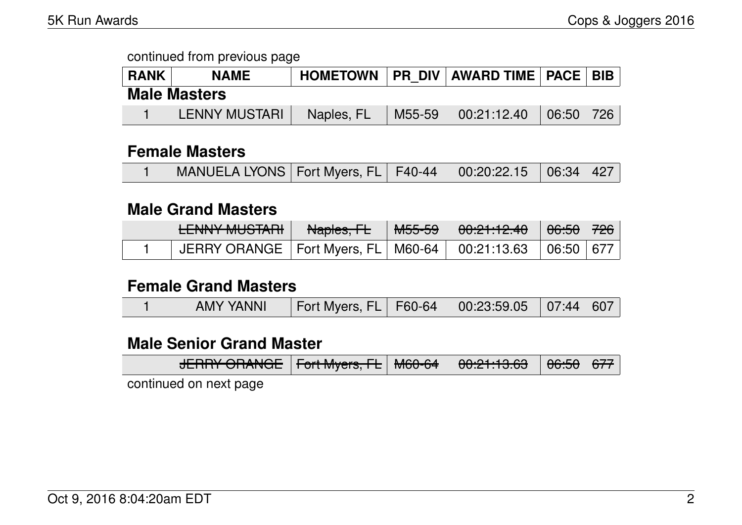| <b>RANK</b>         | <b>NAME</b>          | <b>HOMETOWN</b> |        | <b>PR DIV AWARD TIME PACE BIB</b> |       |     |  |  |
|---------------------|----------------------|-----------------|--------|-----------------------------------|-------|-----|--|--|
| <b>Male Masters</b> |                      |                 |        |                                   |       |     |  |  |
|                     | <b>LENNY MUSTARI</b> | Naples, FL      | M55-59 | 00:21:12.40                       | 06:50 | 726 |  |  |

#### **Female Masters**

|  | MANUELA LYONS   Fort Myers, FL   F40-44   00:20:22.15   06:34   427 |  |  |  |  |  |
|--|---------------------------------------------------------------------|--|--|--|--|--|
|--|---------------------------------------------------------------------|--|--|--|--|--|

### **Male Grand Masters**

| LENINIV MUCTADI<br><b>CLIVITT MUUTTALIT</b> | <del>Naples, FL</del> | <u>MEE EA</u><br>101 <del>00 00</del> | $\begin{array}{c} 0.01110 \\ 0.01111 \end{array}$<br>$\overline{UU}.$ $\overline{C}$ $\overline{C}.$ $\overline{TC}$ | <del>06:50</del> | $\frac{1}{726}$ |
|---------------------------------------------|-----------------------|---------------------------------------|----------------------------------------------------------------------------------------------------------------------|------------------|-----------------|
| JERRY ORANGE   Fort Myers, FL   M60-64      |                       |                                       | $\frac{1}{2}$ 00:21:13.63 $\frac{1}{2}$ 06:50                                                                        |                  | , 1677          |

#### **Female Grand Masters**

|  | <b>AMY YANNI</b> | Fort Myers, FL   F60-64   00:23:59.05   07:44   607 |  |  |  |  |
|--|------------------|-----------------------------------------------------|--|--|--|--|
|--|------------------|-----------------------------------------------------|--|--|--|--|

### **Male Senior Grand Master**

|  |  | $\Box$ FDDV $\Box$ DANCE $\Box$ Faxt Muare FL $\Box$ MCO CA<br><u> סבוחור טוואולסב   דטוואוקסוס, דב   ואוסט־סיד   "סט.בו. וט.סט</u> |  |  | 0.01.100 | ⊟ <del>06:50</del> E <del>677</del> |  |
|--|--|-------------------------------------------------------------------------------------------------------------------------------------|--|--|----------|-------------------------------------|--|
|--|--|-------------------------------------------------------------------------------------------------------------------------------------|--|--|----------|-------------------------------------|--|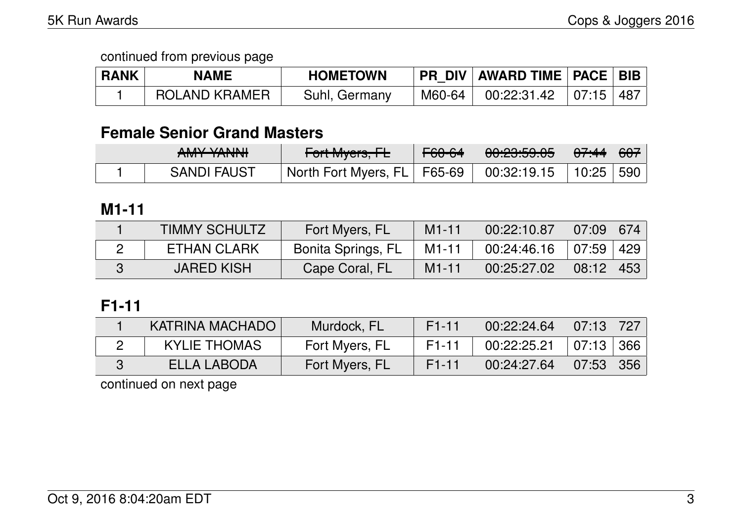| <b>RANK</b> | <b>NAME</b>   | <b>HOMETOWN</b> | <b>PR DIV AWARD TIME PACE BIB</b>                         |  |
|-------------|---------------|-----------------|-----------------------------------------------------------|--|
|             | ROLAND KRAMER | Suhl, Germany   | $^+$ M60-64 $^+$ 00:22:31.42 $^+$ 07:15 $\mid$ 487 $\mid$ |  |

## **Female Senior Grand Masters**

| AN AVEVANINII<br>$\sqrt{2}$ | L<br>$T$ UTTIVIYCI $S$ , IL   | <del>F60-64</del> | 0.00.50.05<br><del>uu.cu.cu.uu</del> | <del>07:44</del>   <del>607</del> |  |
|-----------------------------|-------------------------------|-------------------|--------------------------------------|-----------------------------------|--|
| <b>SANDI FAUST</b>          | North Fort Myers, FL   F65-69 |                   | 00:32:19.15                          | 10:25   590                       |  |

## **M1-11**

| <b>TIMMY SCHULTZ</b> | Fort Myers, FL     | $M1 - 11$ | 00:22:10.87 | $07:09$ 674   |  |
|----------------------|--------------------|-----------|-------------|---------------|--|
| <b>ETHAN CLARK</b>   | Bonita Springs, FL | M1-11     | 00:24:46.16 | 07:59   429   |  |
| <b>JARED KISH</b>    | Cape Coral, FL     | $M1 - 11$ | 00:25:27.02 | $08:12$   453 |  |

## **F1-11**

| KATRINA MACHADO     | Murdock, FL    | $F1-11$            | 00:22:24.64                 | $07:13$ 727 |  |
|---------------------|----------------|--------------------|-----------------------------|-------------|--|
| <b>KYLIE THOMAS</b> | Fort Myers, FL | F1-11              | $00:22:25.21$   07:13   366 |             |  |
| ELLA LABODA         | Fort Myers, FL | F <sub>1</sub> -11 | 00:24:27.64                 | $07:53$ 356 |  |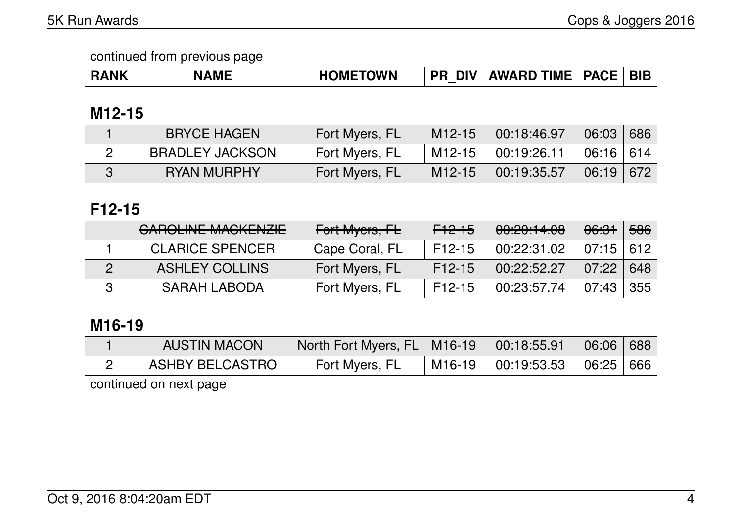|  | <b>AME</b> | <b>TOWN</b><br><b>HOME</b><br>$\mathbf{u}$ | <b>DIV</b><br>DD | <b>TIME</b><br><b>AWARD</b> | $\overline{\phantom{a}}$ PACE | DIE |
|--|------------|--------------------------------------------|------------------|-----------------------------|-------------------------------|-----|
|--|------------|--------------------------------------------|------------------|-----------------------------|-------------------------------|-----|

## **M12-15**

| <b>BRYCE HAGEN</b>     | Fort Myers, FL | M <sub>12</sub> -15 | 00:18:46.97 | 06:03       | 686 |
|------------------------|----------------|---------------------|-------------|-------------|-----|
| <b>BRADLEY JACKSON</b> | Fort Myers, FL | M <sub>12</sub> -15 | 00:19:26.11 | $06:16$ 614 |     |
| <b>RYAN MURPHY</b>     | Fort Myers, FL | M <sub>12</sub> -15 | 00:19:35.57 | $06:19$ 672 |     |

## **F12-15**

| <b>GAROLINE MACKENZIE</b> | Fort Myers, FL | <del>F12-15</del> | 00:20:14.08 | <del>06:31</del> | 586 |
|---------------------------|----------------|-------------------|-------------|------------------|-----|
| <b>CLARICE SPENCER</b>    | Cape Coral, FL | F12-15            | 00:22:31.02 | $07:15$ 612      |     |
| <b>ASHLEY COLLINS</b>     | Fort Myers, FL | $F12-15$          | 00:22:52.27 | 07:22            | 648 |
| <b>SARAH LABODA</b>       | Fort Myers, FL | $F12-15$          | 00:23:57.74 | 07:43            | 355 |

## **M16-19**

| <b>AUSTIN MACON</b> | North Fort Myers, FL   M16-19   00:18:55.91 |          |                                                       | 06:06   688 |  |
|---------------------|---------------------------------------------|----------|-------------------------------------------------------|-------------|--|
| ASHBY BELCASTRO     | Fort Myers, FL                              | $M16-19$ | $\vert$ 00:19:53.53 $\vert$ 06:25 $\vert$ 666 $\vert$ |             |  |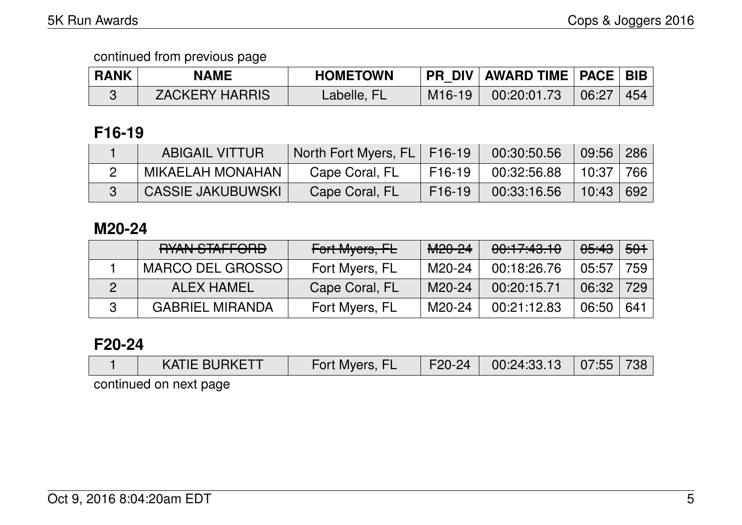| <b>RANK</b> | <b>NAME</b>           | <b>HOMETOWN</b> |                     | <b>I PR DIV   AWARD TIME   PACE   BIB</b> |       |             |
|-------------|-----------------------|-----------------|---------------------|-------------------------------------------|-------|-------------|
|             | <b>ZACKERY HARRIS</b> | Labelle, FL     | M <sub>16</sub> -19 | 00:20:01.73                               | 06:27 | $\vert$ 454 |

## **F16-19**

| <b>ABIGAIL VITTUR</b>    | North Fort Myers, FL   F16-19 |                         | 00:30:50.56 | 09:56 286   |  |
|--------------------------|-------------------------------|-------------------------|-------------|-------------|--|
| MIKAELAH MONAHAN         | Cape Coral, FL                | $\overline{5}$ F16-19 . | 00:32:56.88 | 10:37   766 |  |
| <b>CASSIE JAKUBUWSKI</b> | Cape Coral, FL                | F <sub>16</sub> -19     | 00:33:16.56 | 10:43 692   |  |

## **M20-24**

| <b>DVANI CTAFFODD</b><br><b>MAN JIAH VNU</b> | Fort Myers, FL | M <sub>20-24</sub> | 00:17:43.10 | <del>05:43</del> | <del>501</del> |
|----------------------------------------------|----------------|--------------------|-------------|------------------|----------------|
| MARCO DEL GROSSO                             | Fort Myers, FL | M20-24             | 00:18:26.76 | 05:57            | 759            |
| ALEX HAMEL                                   | Cape Coral, FL | M20-24             | 00:20:15.71 | 06:32            | 729            |
| <b>GABRIEL MIRANDA</b>                       | Fort Myers, FL | M20-24             | 00:21:12.83 | 06:50            | 641            |

## **F20-24**

| $\overline{\phantom{a}}$ KATIE BURKETT | Fort Mvers. | $F20-24$ | 00:24:33.13 | 07:55 |  |
|----------------------------------------|-------------|----------|-------------|-------|--|
|                                        |             |          |             |       |  |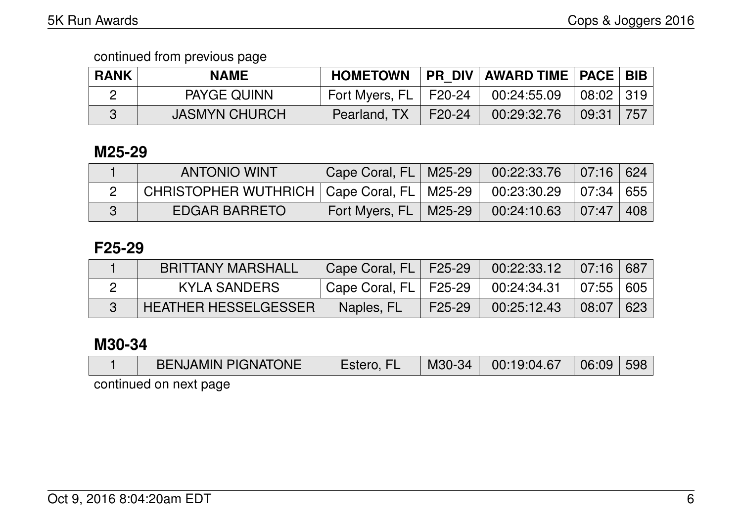| <b>RANK</b> | <b>NAME</b>          | <b>HOMETOWN</b>           | PR_DIV   AWARD TIME   PACE   BIB |                                |     |
|-------------|----------------------|---------------------------|----------------------------------|--------------------------------|-----|
|             | <b>PAYGE QUINN</b>   | Fort Myers, $FL$   F20-24 | 00:24:55.09                      | $\mid$ 08:02 $\mid$ 319 $\mid$ |     |
|             | <b>JASMYN CHURCH</b> | Pearland, TX   F20-24     | 00:29:32.76                      | 09:31                          | 757 |

### **M25-29**

| <b>ANTONIO WINT</b>                                          | Cape Coral, FL   M25-29 | $00:22:33.76$ 07:16 624 |           |  |
|--------------------------------------------------------------|-------------------------|-------------------------|-----------|--|
| CHRISTOPHER WUTHRICH   Cape Coral, FL   M25-29   00:23:30.29 |                         |                         | 07:34 655 |  |
| <b>EDGAR BARRETO</b>                                         | Fort Myers, FL   M25-29 | 00:24:10.63             | 07:47 408 |  |

## **F25-29**

| <b>BRITTANY MARSHALL</b>    | Cape Coral, FL   F25-29                   |        | $00:22:33.12$ 07:16 687                  |           |  |
|-----------------------------|-------------------------------------------|--------|------------------------------------------|-----------|--|
| KYLA SANDERS                | $\,$ Cape Coral, FL $\,$ F25-29 $\,$ $\,$ |        | $00:24:34.31$ $\mid 07:55 \mid 605 \mid$ |           |  |
| <b>HEATHER HESSELGESSER</b> | Naples, FL                                | F25-29 | 00:25:12.43                              | 08:07 623 |  |

## **M30-34**

|                        | <b>BENJAMIN PIGNATONE</b> | Estero, FL |  | $\mid$ M30-34 $\mid$ 00:19:04.67 $\mid$ 06:09 $\mid$ 598 |  |  |  |  |  |
|------------------------|---------------------------|------------|--|----------------------------------------------------------|--|--|--|--|--|
| continued on novt nago |                           |            |  |                                                          |  |  |  |  |  |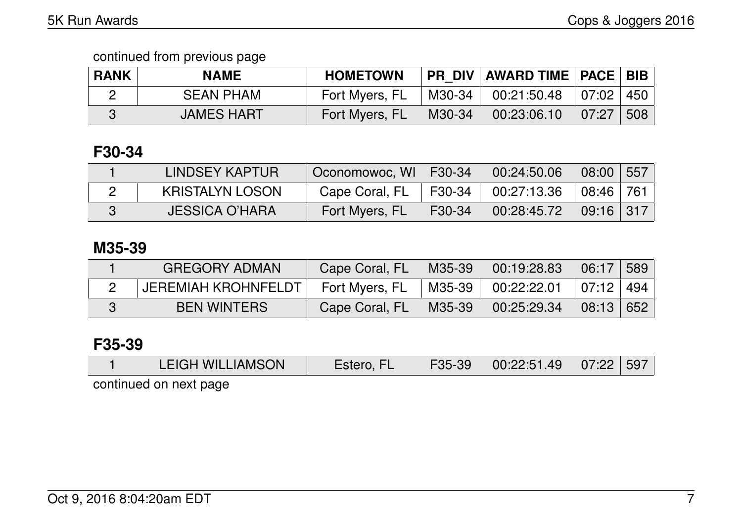| <b>RANK</b> | <b>NAME</b>       | <b>HOMETOWN</b> |        | PR DIV   AWARD TIME   PACE   BIB |       |      |
|-------------|-------------------|-----------------|--------|----------------------------------|-------|------|
|             | <b>SEAN PHAM</b>  | Fort Myers, FL  | M30-34 | 00:21:50.48                      | 07:02 | 450∣ |
|             | <b>JAMES HART</b> | Fort Myers, FL  | M30-34 | 00:23:06.10                      | 07:27 | 508  |

## **F30-34**

| LINDSEY KAPTUR         | Coonomowoc, WI   F30-34 |         | 00:24:50.06 | 08:00                          | 557 |
|------------------------|-------------------------|---------|-------------|--------------------------------|-----|
| <b>KRISTALYN LOSON</b> | Cape Coral, FL          | 「F30-34 | 00:27:13.36 | $\mid$ 08:46 $\mid$ 761 $\mid$ |     |
| <b>JESSICA O'HARA</b>  | Fort Myers, FL          | F30-34  | 00:28:45.72 | $\mid$ 09:16 $\mid$ 317 $\mid$ |     |

## **M35-39**

| <b>GREGORY ADMAN</b>       | Cape Coral, FL | M35-39 | 00:19:28.83 | 06:17 | 589 |
|----------------------------|----------------|--------|-------------|-------|-----|
| <b>JEREMIAH KROHNFELDT</b> | Fort Myers, FL | M35-39 | 00:22:22.01 | 07:12 | 494 |
| <b>BEN WINTERS</b>         | Cape Coral, FL | M35-39 | 00:25:29.34 | 08:13 | 652 |

# **F35-39**

|  |  | <b>LEIGH WILLIAMSON</b> | Estero, FL | F35-39 | 00:22:51.49 | $\parallel$ 07:22 $\parallel$ 597 |  |
|--|--|-------------------------|------------|--------|-------------|-----------------------------------|--|
|--|--|-------------------------|------------|--------|-------------|-----------------------------------|--|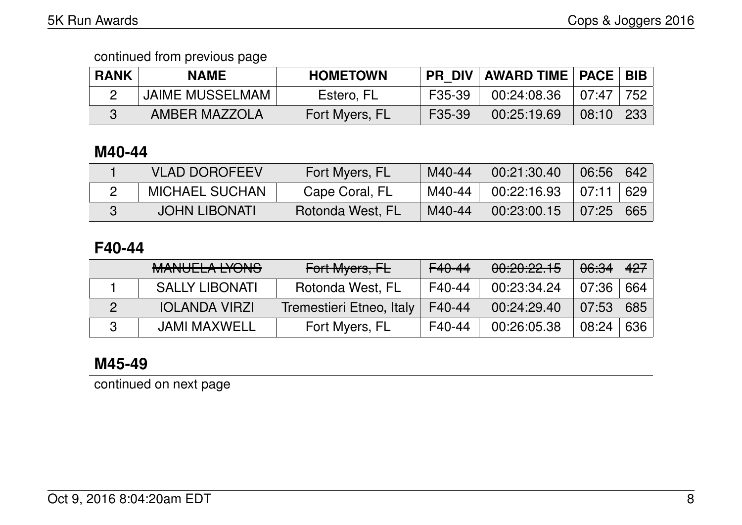| <b>RANK</b> | <b>NAME</b>            | <b>HOMETOWN</b> | <b>PR DIV</b> | <b>AWARD TIME   PACE   BIB  </b> |                |                   |
|-------------|------------------------|-----------------|---------------|----------------------------------|----------------|-------------------|
|             | <b>JAIME MUSSELMAM</b> | Estero, FL      | F35-39        | 00:24:08.36                      | 07:47          | 752               |
|             | AMBER MAZZOLA          | Fort Myers, FL  | F35-39        | 00:25:19.69                      | $\sqrt{08:10}$ | $\frac{1}{2}$ 233 |

### **M40-44**

| <b>VLAD DOROFEEV</b>  | Fort Myers, FL   | M40-44 | 00:21:30.40 | 06:56 | $\sqrt{642}$ |
|-----------------------|------------------|--------|-------------|-------|--------------|
| <b>MICHAEL SUCHAN</b> | Cape Coral, FL   | M40-44 | 00:22:16.93 | 07:11 | 629          |
| <b>JOHN LIBONATI</b>  | Rotonda West, FL | M40-44 | 00:23:00.15 | 07:25 | 665          |

## **F40-44**

| MANILIEL A IVANIO<br><u>MANULLA LIUNU</u> | Fort Myers, FL           | $F40-44$ | 00:20:22.15 | <del>06:34</del> | 427 |
|-------------------------------------------|--------------------------|----------|-------------|------------------|-----|
| <b>SALLY LIBONATI</b>                     | Rotonda West, FL         | F40-44   | 00:23:34.24 | . 07:36          | 664 |
| <b>IOLANDA VIRZI</b>                      | Tremestieri Etneo, Italy | F40-44   | 00:24:29.40 | 07:53            | 685 |
| <b>JAMI MAXWELL</b>                       | Fort Myers, FL           | F40-44   | 00:26:05.38 | 08:24            | 636 |

## **M45-49**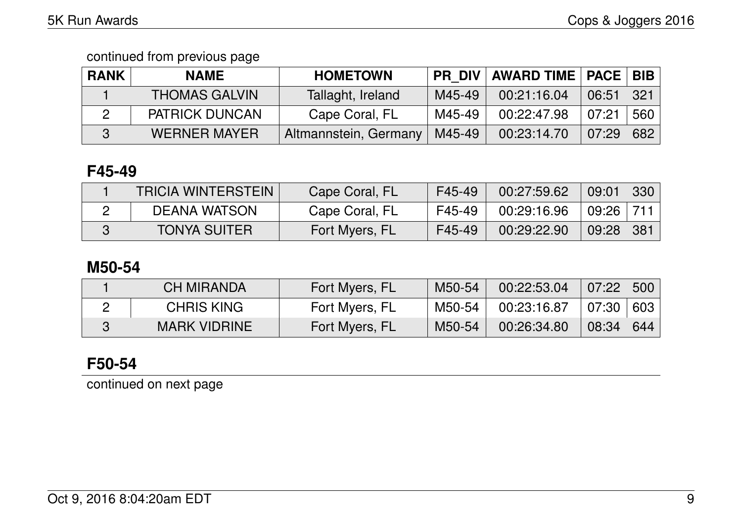| <b>RANK</b> | <b>NAME</b>           | <b>HOMETOWN</b>       | PR DIV I | AWARD TIME   PACE   BIB |       |     |
|-------------|-----------------------|-----------------------|----------|-------------------------|-------|-----|
|             | <b>THOMAS GALVIN</b>  | Tallaght, Ireland     | M45-49   | 00:21:16.04             | 06:51 | 321 |
|             | <b>PATRICK DUNCAN</b> | Cape Coral, FL        | M45-49   | 00:22:47.98             | 07:21 | 560 |
|             | <b>WERNER MAYER</b>   | Altmannstein, Germany | M45-49   | 00:23:14.70             | 07:29 | 682 |

## **F45-49**

| <b>TRICIA WINTERSTEIN</b> | Cape Coral, FL | F45-49 | 00:27:59.62 | 09:01         | 330  |
|---------------------------|----------------|--------|-------------|---------------|------|
| <b>DEANA WATSON</b>       | Cape Coral, FL | F45-49 | 00:29:16.96 | $09:26$   711 |      |
| <b>TONYA SUITER</b>       | Fort Myers, FL | F45-49 | 00:29:22.90 | 09:28         | -381 |

## **M50-54**

| <b>CH MIRANDA</b>   | Fort Myers, FL | M50-54 | 00:22:53.04 | 07:22                      | 500 |
|---------------------|----------------|--------|-------------|----------------------------|-----|
| <b>CHRIS KING</b>   | Fort Myers, FL | M50-54 | 00:23:16.87 | $\mid 07:30 \mid 603 \mid$ |     |
| <b>MARK VIDRINE</b> | Fort Myers, FL | M50-54 | 00:26:34.80 | $\sqrt{08:34}$             | 644 |

## **F50-54**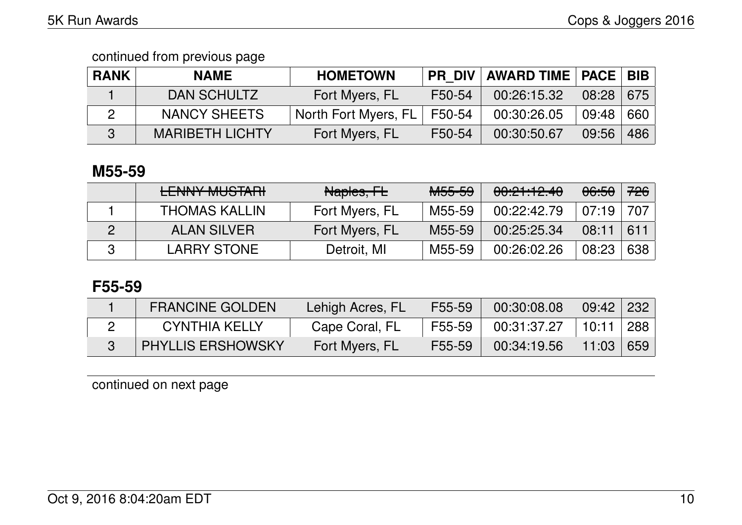| <b>RANK</b> | <b>NAME</b>            | <b>HOMETOWN</b>      | <b>PR DIV</b> | <b>AWARD TIME   PACE   BIB</b> |       |     |
|-------------|------------------------|----------------------|---------------|--------------------------------|-------|-----|
|             | DAN SCHULTZ            | Fort Myers, FL       | F50-54        | 00:26:15.32                    | 08:28 | 675 |
|             | <b>NANCY SHEETS</b>    | North Fort Myers, FL | F50-54        | 00:30:26.05                    | 09:48 | 660 |
|             | <b>MARIBETH LICHTY</b> | Fort Myers, FL       | F50-54        | 00:30:50.67                    | 09:56 | 486 |

### **M55-59**

| <b>FAINIVAALICTADL</b><br><b>CLIVIVI IVIUO IAITI</b> | Naples, FL     | <del>M55-59</del> | 00:21:12.40 | <del>06:50</del> | 726 |
|------------------------------------------------------|----------------|-------------------|-------------|------------------|-----|
| <b>THOMAS KALLIN</b>                                 | Fort Myers, FL | M55-59            | 00:22:42.79 | . 07:19          | 707 |
| <b>ALAN SILVER</b>                                   | Fort Myers, FL | M55-59            | 00:25:25.34 | 08:11            | 611 |
| <b>LARRY STONE</b>                                   | Detroit, MI    | M55-59            | 00:26:02.26 | 08:23            | 638 |

## **F55-59**

| <b>FRANCINE GOLDEN</b>   | Lehigh Acres, FL | F55-59 | 00:30:08.08 | $09:42$ 232 |     |
|--------------------------|------------------|--------|-------------|-------------|-----|
| <b>CYNTHIA KELLY</b>     | Cape Coral, FL   | F55-59 | 00:31:37.27 | 10:11       | 288 |
| <b>PHYLLIS ERSHOWSKY</b> | Fort Myers, FL   | F55-59 | 00:34:19.56 | 11:03       | 659 |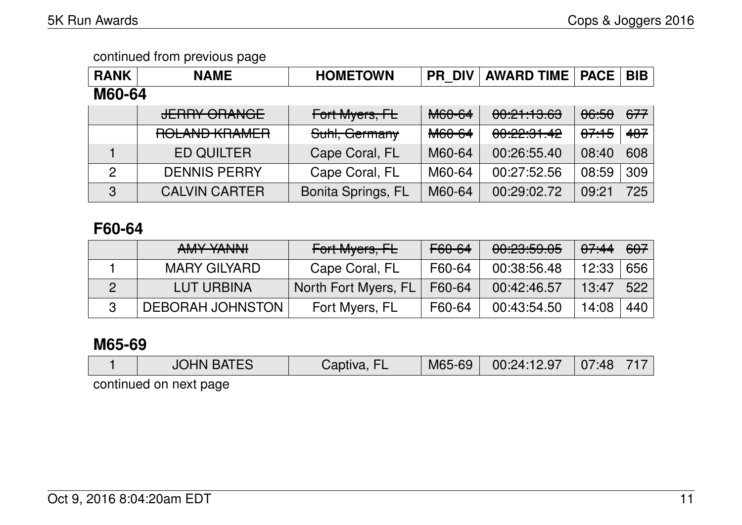| <b>RANK</b>    | <b>NAME</b>                               | <b>HOMETOWN</b>           | <b>PR DIV</b> | <b>AWARD TIME</b> | <b>PACE</b>      | <b>BIB</b> |  |  |  |
|----------------|-------------------------------------------|---------------------------|---------------|-------------------|------------------|------------|--|--|--|
| <b>M60-64</b>  |                                           |                           |               |                   |                  |            |  |  |  |
|                | <b>JERRY ORANGE</b>                       | Fort Myers, FL            | M60-64        | 00:21:13.63       | <del>06:50</del> | 677        |  |  |  |
|                | DOL AND VDAMED<br><b>NULAINU NUAIILIT</b> | Suhl, Germany             | <b>M60-64</b> | 00:22:31.42       | <del>07:15</del> | 487        |  |  |  |
|                | <b>ED QUILTER</b>                         | Cape Coral, FL            | M60-64        | 00:26:55.40       | 08:40            | 608        |  |  |  |
| $\overline{2}$ | <b>DENNIS PERRY</b>                       | Cape Coral, FL            | M60-64        | 00:27:52.56       | 08:59            | 309        |  |  |  |
| 3              | <b>CALVIN CARTER</b>                      | <b>Bonita Springs, FL</b> | M60-64        | 00:29:02.72       | 09:21            | 725        |  |  |  |

## **F60-64**

| AMY YANNI               | Fort Myers, FL       | F60-64 | 00:23:59.05 | 0.744 | 607 |
|-------------------------|----------------------|--------|-------------|-------|-----|
| <b>MARY GILYARD</b>     | Cape Coral, FL       | F60-64 | 00:38:56.48 | 12:33 | 656 |
| LUT URBINA              | North Fort Myers, FL | F60-64 | 00:42:46.57 | 13:47 | 522 |
| <b>DEBORAH JOHNSTON</b> | Fort Myers, FL       | F60-64 | 00:43:54.50 | 14:08 | 440 |

## **M65-69**

|  | <b>JOHN BATES</b> | วtiva. | M65-69 | 00:24:12.97 | 07:48 |  |
|--|-------------------|--------|--------|-------------|-------|--|
|--|-------------------|--------|--------|-------------|-------|--|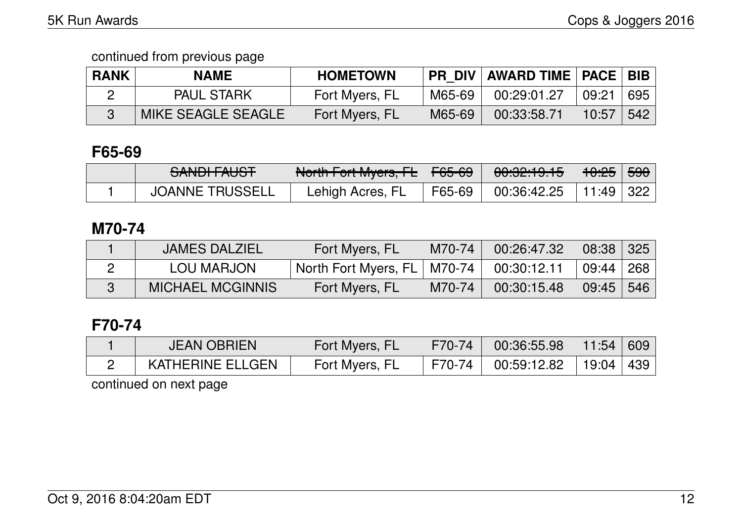| <b>RANK</b> | <b>NAME</b>        | <b>HOMETOWN</b> | <b>PR DIV</b> | <b>AWARD TIME   PACE   BIB  </b> |       |     |
|-------------|--------------------|-----------------|---------------|----------------------------------|-------|-----|
|             | <b>PAUL STARK</b>  | Fort Myers, FL  | M65-69        | 00:29:01.27                      | 09:21 | 695 |
|             | MIKE SEAGLE SEAGLE | Fort Myers, FL  | M65-69        | 00:33:58.71                      | 10:57 | 542 |

## **F65-69**

| CANINI FALICT<br><del>JANUH AUJT</del> | North Fort Myore FL<br>ाण्ठाता । ज्या MyCrS, 1 $\pm$   $\,$ | $\vert$ <del>F65-69</del> | <del>00:32:19.15</del> | <del>10:25</del> | <del>590</del> |
|----------------------------------------|-------------------------------------------------------------|---------------------------|------------------------|------------------|----------------|
| <b>JOANNE TRUSSELL</b>                 | ∟ehigh Acres, Fl                                            | F65-69                    | 00:36:42.25            | $11:49$ 322      |                |

### **M70-74**

| <b>JAMES DALZIEL</b>    | Fort Myers, FL                  | M70-74 | 00:26:47.32 | $08:38$ 325 |     |
|-------------------------|---------------------------------|--------|-------------|-------------|-----|
| LOU MARJON              | ' North Fort Myers, FL   M70-74 |        | 00:30:12.11 | 09:44   268 |     |
| <b>MICHAEL MCGINNIS</b> | Fort Myers, FL                  | M70-74 | 00:30:15.48 | 09:45       | 546 |

## **F70-74**

| <b>JEAN OBRIEN</b>      | Fort Myers, FL | $\sqrt{570-74}$ | 00:36:55.98  | 11:54 609                         |  |
|-------------------------|----------------|-----------------|--------------|-----------------------------------|--|
| <b>KATHERINE ELLGEN</b> | Fort Myers, FL | F70-74          | 100:59:12.82 | $\vert$ 19:04 $\vert$ 439 $\vert$ |  |